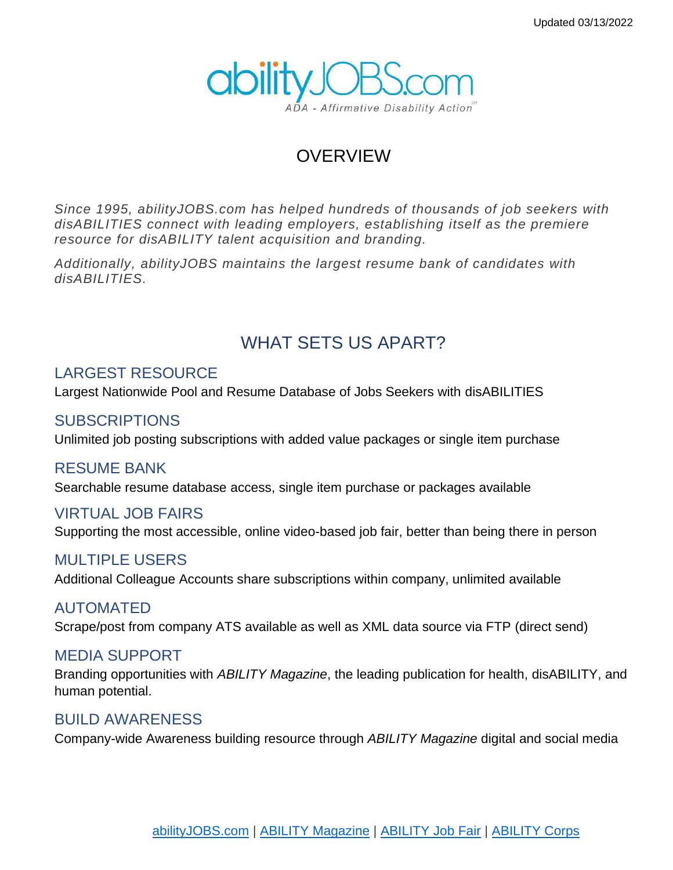

## OVERVIEW

*Since 1995, abilityJOBS.com has helped hundreds of thousands of job seekers with disABILITIES connect with leading employers, establishing itself as the premiere resource for disABILITY talent acquisition and branding.*

*Additionally, abilityJOBS maintains the largest resume bank of candidates with disABILITIES.*

## WHAT SETS US APART?

### LARGEST RESOURCE

Largest Nationwide Pool and Resume Database of Jobs Seekers with disABILITIES

### SUBSCRIPTIONS

Unlimited job posting subscriptions with added value packages or single item purchase

#### RESUME BANK

Searchable resume database access, single item purchase or packages available

### VIRTUAL JOB FAIRS

Supporting the most accessible, online video-based job fair, better than being there in person

### MULTIPLE USERS

Additional Colleague Accounts share subscriptions within company, unlimited available

### AUTOMATED

Scrape/post from company ATS available as well as XML data source via FTP (direct send)

### MEDIA SUPPORT

Branding opportunities with *ABILITY Magazine*, the leading publication for health, disABILITY, and human potential.

### BUILD AWARENESS

Company-wide Awareness building resource through *ABILITY Magazine* digital and social media